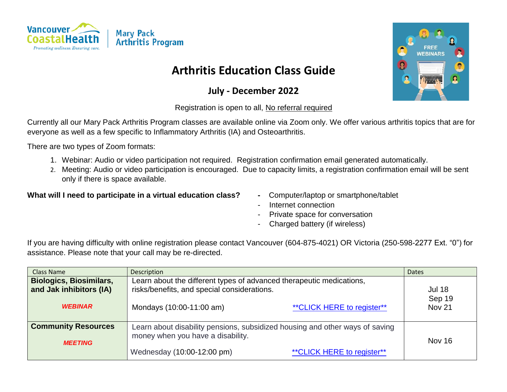

# **Arthritis Education Class Guide**

## **July - December 2022**

#### Registration is open to all, No referral required

Currently all our Mary Pack Arthritis Program classes are available online via Zoom only. We offer various arthritis topics that are for everyone as well as a few specific to Inflammatory Arthritis (IA) and Osteoarthritis.

There are two types of Zoom formats:

- 1. Webinar: Audio or video participation not required. Registration confirmation email generated automatically.
- 2. Meeting: Audio or video participation is encouraged. Due to capacity limits, a registration confirmation email will be sent only if there is space available.

#### **What will I need to participate in a virtual education class? -** Computer/laptop or smartphone/tablet

- 
- Internet connection
- Private space for conversation
- Charged battery (if wireless)

If you are having difficulty with online registration please contact Vancouver (604-875-4021) OR Victoria (250-598-2277 Ext. "0") for assistance. Please note that your call may be re-directed.

| Class Name                                                                  | Description                                                                                                                                                                    | <b>Dates</b>                             |
|-----------------------------------------------------------------------------|--------------------------------------------------------------------------------------------------------------------------------------------------------------------------------|------------------------------------------|
| <b>Biologics, Biosimilars,</b><br>and Jak inhibitors (IA)<br><b>WEBINAR</b> | Learn about the different types of advanced therapeutic medications,<br>risks/benefits, and special considerations.<br>** CLICK HERE to register**<br>Mondays (10:00-11:00 am) | <b>Jul 18</b><br>Sep 19<br><b>Nov 21</b> |
| <b>Community Resources</b><br><b>MEETING</b>                                | Learn about disability pensions, subsidized housing and other ways of saving<br>money when you have a disability.<br>** CLICK HERE to register**<br>Wednesday (10:00-12:00 pm) | <b>Nov 16</b>                            |

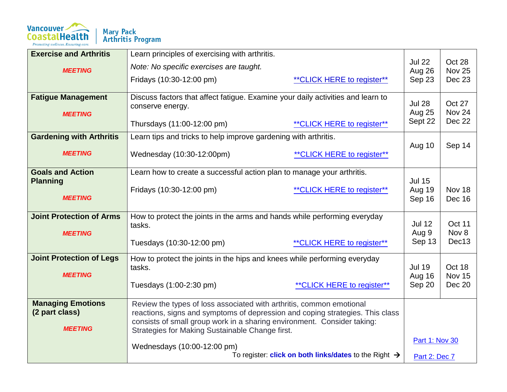

| <b>Exercise and Arthritis</b>   | Learn principles of exercising with arthritis.                                  |                                                                          |                         |                         |
|---------------------------------|---------------------------------------------------------------------------------|--------------------------------------------------------------------------|-------------------------|-------------------------|
| <b>MEETING</b>                  | Note: No specific exercises are taught.                                         |                                                                          | <b>Jul 22</b><br>Aug 26 | Oct 28<br><b>Nov 25</b> |
|                                 | Fridays (10:30-12:00 pm)                                                        | ** CLICK HERE to register**                                              | Sep 23                  | <b>Dec 23</b>           |
|                                 |                                                                                 |                                                                          |                         |                         |
| <b>Fatigue Management</b>       | Discuss factors that affect fatigue. Examine your daily activities and learn to |                                                                          | <b>Jul 28</b>           | Oct 27                  |
| <b>MEETING</b>                  | conserve energy.                                                                |                                                                          | Aug 25                  | Nov 24                  |
|                                 | Thursdays (11:00-12:00 pm)                                                      | ** CLICK HERE to register**                                              | Sept 22                 | Dec 22                  |
|                                 |                                                                                 |                                                                          |                         |                         |
| <b>Gardening with Arthritis</b> | Learn tips and tricks to help improve gardening with arthritis.                 |                                                                          |                         |                         |
| <b>MEETING</b>                  | Wednesday (10:30-12:00pm)                                                       | ** CLICK HERE to register**                                              | Aug 10                  | Sep 14                  |
|                                 |                                                                                 |                                                                          |                         |                         |
| <b>Goals and Action</b>         | Learn how to create a successful action plan to manage your arthritis.          |                                                                          |                         |                         |
| <b>Planning</b>                 |                                                                                 |                                                                          | <b>Jul 15</b>           |                         |
|                                 | Fridays (10:30-12:00 pm)                                                        | ** CLICK HERE to register**                                              | Aug 19                  | Nov 18                  |
| <b>MEETING</b>                  |                                                                                 |                                                                          | Sep 16                  | Dec 16                  |
| <b>Joint Protection of Arms</b> | How to protect the joints in the arms and hands while performing everyday       |                                                                          |                         |                         |
|                                 | tasks.                                                                          |                                                                          | <b>Jul 12</b>           | Oct 11                  |
| <b>MEETING</b>                  |                                                                                 |                                                                          | Aug 9                   | Nov 8                   |
|                                 | Tuesdays (10:30-12:00 pm)                                                       | ** CLICK HERE to register**                                              | Sep 13                  | Dec13                   |
| <b>Joint Protection of Legs</b> | How to protect the joints in the hips and knees while performing everyday       |                                                                          |                         |                         |
|                                 | tasks.                                                                          |                                                                          | <b>Jul 19</b>           | Oct 18                  |
| <b>MEETING</b>                  |                                                                                 |                                                                          | Aug 16                  | <b>Nov 15</b>           |
|                                 | Tuesdays (1:00-2:30 pm)                                                         | ** CLICK HERE to register**                                              | Sep 20                  | <b>Dec 20</b>           |
| <b>Managing Emotions</b>        | Review the types of loss associated with arthritis, common emotional            |                                                                          |                         |                         |
| (2 part class)                  | reactions, signs and symptoms of depression and coping strategies. This class   |                                                                          |                         |                         |
|                                 | consists of small group work in a sharing environment. Consider taking:         |                                                                          |                         |                         |
| <b>MEETING</b>                  | Strategies for Making Sustainable Change first.                                 |                                                                          |                         |                         |
|                                 | Wednesdays (10:00-12:00 pm)                                                     |                                                                          | <b>Part 1: Nov 30</b>   |                         |
|                                 |                                                                                 | To register: <b>click on both links/dates</b> to the Right $\rightarrow$ | Part 2: Dec 7           |                         |
|                                 |                                                                                 |                                                                          |                         |                         |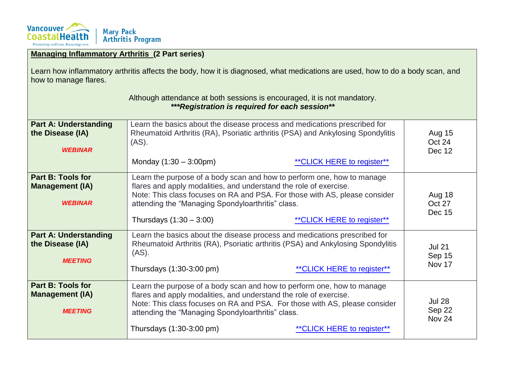

| <b>Managing Inflammatory Arthritis (2 Part series)</b>                                                                                                 |                                                                                                                                                                                                                                                                                                                                            |                                                                                                                |                                   |
|--------------------------------------------------------------------------------------------------------------------------------------------------------|--------------------------------------------------------------------------------------------------------------------------------------------------------------------------------------------------------------------------------------------------------------------------------------------------------------------------------------------|----------------------------------------------------------------------------------------------------------------|-----------------------------------|
| Learn how inflammatory arthritis affects the body, how it is diagnosed, what medications are used, how to do a body scan, and<br>how to manage flares. |                                                                                                                                                                                                                                                                                                                                            |                                                                                                                |                                   |
| Although attendance at both sessions is encouraged, it is not mandatory.<br>***Registration is required for each session**                             |                                                                                                                                                                                                                                                                                                                                            |                                                                                                                |                                   |
| <b>Part A: Understanding</b><br>the Disease (IA)<br><b>WEBINAR</b>                                                                                     | Learn the basics about the disease process and medications prescribed for<br>(AS).<br>Monday $(1:30 - 3:00 \text{pm})$                                                                                                                                                                                                                     | Rheumatoid Arthritis (RA), Psoriatic arthritis (PSA) and Ankylosing Spondylitis<br>** CLICK HERE to register** | <b>Aug 15</b><br>Oct 24<br>Dec 12 |
| <b>Part B: Tools for</b><br><b>Management (IA)</b><br><b>WEBINAR</b>                                                                                   | Learn the purpose of a body scan and how to perform one, how to manage<br>flares and apply modalities, and understand the role of exercise.<br>Note: This class focuses on RA and PSA. For those with AS, please consider<br>attending the "Managing Spondyloarthritis" class.<br>Thursdays $(1:30 - 3:00)$<br>** CLICK HERE to register** |                                                                                                                | Aug 18<br>Oct 27<br><b>Dec 15</b> |
| <b>Part A: Understanding</b><br>the Disease (IA)<br><b>MEETING</b>                                                                                     | Learn the basics about the disease process and medications prescribed for<br>(AS).<br>Thursdays (1:30-3:00 pm)                                                                                                                                                                                                                             | Rheumatoid Arthritis (RA), Psoriatic arthritis (PSA) and Ankylosing Spondylitis<br>** CLICK HERE to register** | <b>Jul 21</b><br>Sep 15<br>Nov 17 |
| <b>Part B: Tools for</b><br><b>Management (IA)</b><br><b>MEETING</b>                                                                                   | Learn the purpose of a body scan and how to perform one, how to manage<br>flares and apply modalities, and understand the role of exercise.<br>Note: This class focuses on RA and PSA. For those with AS, please consider<br>attending the "Managing Spondyloarthritis" class.<br>Thursdays (1:30-3:00 pm)<br>** CLICK HERE to register**  |                                                                                                                | <b>Jul 28</b><br>Sep 22<br>Nov 24 |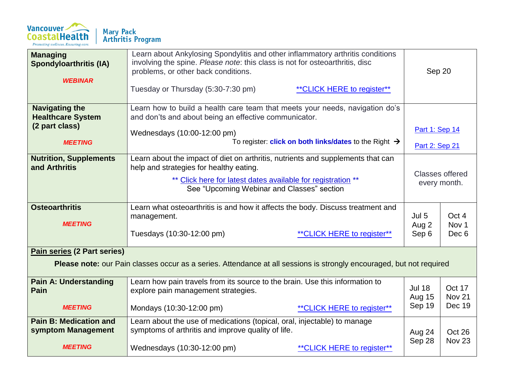

| <b>Managing</b><br><b>Spondyloarthritis (IA)</b><br><b>WEBINAR</b>                                                                                  | Learn about Ankylosing Spondylitis and other inflammatory arthritis conditions<br>involving the spine. Please note: this class is not for osteoarthritis, disc<br>problems, or other back conditions.<br>Tuesday or Thursday (5:30-7:30 pm)<br>** CLICK HERE to register** | Sep 20                                   |                                               |  |
|-----------------------------------------------------------------------------------------------------------------------------------------------------|----------------------------------------------------------------------------------------------------------------------------------------------------------------------------------------------------------------------------------------------------------------------------|------------------------------------------|-----------------------------------------------|--|
| <b>Navigating the</b><br><b>Healthcare System</b><br>(2 part class)<br><b>MEETING</b>                                                               | Learn how to build a health care team that meets your needs, navigation do's<br>and don'ts and about being an effective communicator.<br>Wednesdays (10:00-12:00 pm)<br>To register: <b>click on both links/dates</b> to the Right $\rightarrow$                           | Part 1: Sep 14<br>Part 2: Sep 21         |                                               |  |
| <b>Nutrition, Supplements</b><br>and Arthritis                                                                                                      | Learn about the impact of diet on arthritis, nutrients and supplements that can<br>help and strategies for healthy eating.<br>** Click here for latest dates available for registration **<br>See "Upcoming Webinar and Classes" section                                   |                                          | <b>Classes offered</b><br>every month.        |  |
| <b>Osteoarthritis</b><br><b>MEETING</b>                                                                                                             | Learn what osteoarthritis is and how it affects the body. Discuss treatment and<br>management.<br>Tuesdays (10:30-12:00 pm)<br><b>**CLICK HERE to register**</b>                                                                                                           | Jul 5<br>Aug 2<br>Sep 6                  | Oct 4<br>Nov <sub>1</sub><br>Dec <sub>6</sub> |  |
| Pain series (2 Part series)<br>Please note: our Pain classes occur as a series. Attendance at all sessions is strongly encouraged, but not required |                                                                                                                                                                                                                                                                            |                                          |                                               |  |
| <b>Pain A: Understanding</b><br>Pain<br><b>MEETING</b>                                                                                              | Learn how pain travels from its source to the brain. Use this information to<br>explore pain management strategies.<br>Mondays (10:30-12:00 pm)<br>** CLICK HERE to register**                                                                                             | <b>Jul 18</b><br><b>Aug 15</b><br>Sep 19 | Oct 17<br><b>Nov 21</b><br>Dec 19             |  |
| <b>Pain B: Medication and</b><br>symptom Management<br><b>MEETING</b>                                                                               | Learn about the use of medications (topical, oral, injectable) to manage<br>symptoms of arthritis and improve quality of life.<br>Wednesdays (10:30-12:00 pm)<br>** CLICK HERE to register**                                                                               | Aug 24<br>Sep 28                         | Oct 26<br><b>Nov 23</b>                       |  |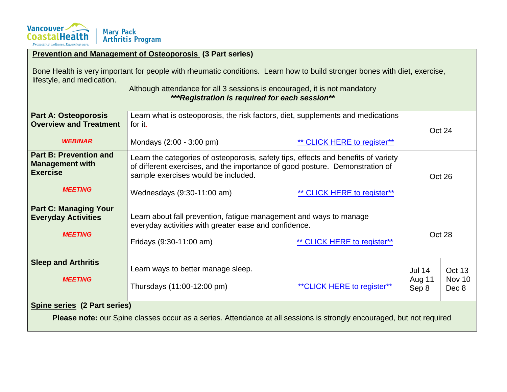

|                                                                                                                                                                                                                                                                                         | <b>Prevention and Management of Osteoporosis (3 Part series)</b>                                                                                                                                                                                                       |                             |                         |                  |
|-----------------------------------------------------------------------------------------------------------------------------------------------------------------------------------------------------------------------------------------------------------------------------------------|------------------------------------------------------------------------------------------------------------------------------------------------------------------------------------------------------------------------------------------------------------------------|-----------------------------|-------------------------|------------------|
| Bone Health is very important for people with rheumatic conditions. Learn how to build stronger bones with diet, exercise,<br>lifestyle, and medication.<br>Although attendance for all 3 sessions is encouraged, it is not mandatory<br>***Registration is required for each session** |                                                                                                                                                                                                                                                                        |                             |                         |                  |
| <b>Part A: Osteoporosis</b><br><b>Overview and Treatment</b><br><b>WEBINAR</b>                                                                                                                                                                                                          | Learn what is osteoporosis, the risk factors, diet, supplements and medications<br>for it.<br>Mondays (2:00 - 3:00 pm)                                                                                                                                                 | ** CLICK HERE to register** |                         | Oct 24           |
| <b>Part B: Prevention and</b><br><b>Management with</b><br><b>Exercise</b><br><b>MEETING</b>                                                                                                                                                                                            | Learn the categories of osteoporosis, safety tips, effects and benefits of variety<br>of different exercises, and the importance of good posture. Demonstration of<br>sample exercises would be included.<br>Wednesdays (9:30-11:00 am)<br>** CLICK HERE to register** |                             | Oct 26                  |                  |
| <b>Part C: Managing Your</b><br><b>Everyday Activities</b><br><b>MEETING</b>                                                                                                                                                                                                            | Learn about fall prevention, fatigue management and ways to manage<br>everyday activities with greater ease and confidence.<br>** CLICK HERE to register**<br>Fridays (9:30-11:00 am)                                                                                  |                             | Oct 28                  |                  |
| <b>Sleep and Arthritis</b><br><b>MEETING</b>                                                                                                                                                                                                                                            | Learn ways to better manage sleep.                                                                                                                                                                                                                                     |                             | <b>Jul 14</b><br>Aug 11 | Oct 13<br>Nov 10 |

### **Spine series (2 Part series)**

**Please note:** our Spine classes occur as a series. Attendance at all sessions is strongly encouraged, but not required

Thursdays (11:00-12:00 pm)  $*$ <br> $*$ CLICK HERE to register\*\*

Sep 8

Dec 8